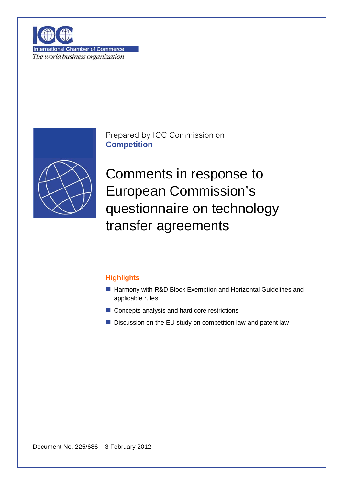

**International Chamber of Commerce** The world business organization



Prepared by ICC Commission on **Competition** 

Comments in response to **European Commission's** questionnaire on technology transfer agreements

## **Highlights**

- Harmony with R&D Block Exemption and Horizontal Guidelines and applicable rules
- Concepts analysis and hard core restrictions
- Discussion on the EU study on competition law and patent law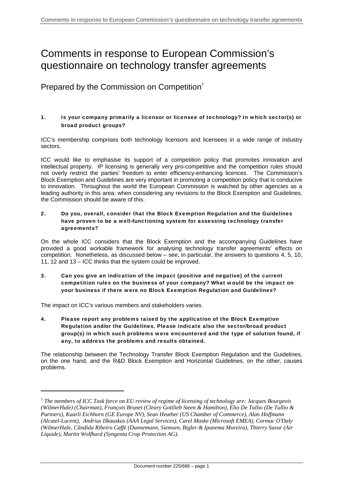# Comments in response to European Commission's questionnaire on technology transfer agreements

Prepared by the Commission on Competition<sup>1</sup>

### 1. Is your company primarily a licensor or licensee of technology? In which sector(s) or broad product groups?

ICC's membership comprises both technology licensors and licensees in a wide range of industry sectors.

ICC would like to emphasise its support of a competition policy that promotes innovation and intellectual property. IP licensing is generally very pro-competitive and the competition rules should not overly restrict the parties' freedom to enter efficiency-enhancing licences. The Commission's Block Exemption and Guidelines are very important in promoting a competition policy that is conducive to innovation. Throughout the world the European Commission is watched by other agencies as a leading authority in this area; when considering any revisions to the Block Exemption and Guidelines, the Commission should be aware of this.

#### 2. Do you, overall, consider that the Block Exemption Regulation and the Guidelines have proven to be a well-functioning system for assessing technology transfer agreements?

On the whole ICC considers that the Block Exemption and the accompanying Guidelines have provided a good workable framework for analysing technology transfer agreements' effects on competition. Nonetheless, as discussed below – see, in particular, the answers to questions 4, 5, 10, 11, 12 and 13 – ICC thinks that the system could be improved.

### 3. Can you give an indication of the impact (positive and negative) of the current competition rules on the business of your company? What would be the impact on your business if there were no Block Exemption Regulation and Guidelines?

The impact on ICC's various members and stakeholders varies.

4. Please report any problems raised by the application of the Block Exemption Regulation and/or the Guidelines. Please indicate also the sector/broad product group(s) in which such problems were encountered and the type of solution found, if any, to address the problems and results obtained.

The relationship between the Technology Transfer Block Exemption Regulation and the Guidelines, on the one hand, and the R&D Block Exemption and Horizontal Guidelines, on the other, causes problems.

<sup>1</sup> *The members of ICC Task force on EU review of regime of licensing of technology are: Jacques Bourgeois (WilmerHale) (Chairman), François Brunet (Cleary Gottlieb Steen & Hamilton), Elio De Tullio (De Tullio & Partners), Kaarli Eichhorn (GE Europe NV), Sean Heather (US Chamber of Commerce), Alan Hoffmann (Alcatel-Lucent), Andrius Iškauskas (AAA Legal Services), Carel Maske (Microsoft EMEA), Cormac O'Daly (WilmerHale, Cândida Ribeiro Caffé (Dannemann, Siemsen, Bigler & Ipanema Moreira), Thierry Sueur (Air Liquide), Martin Wolfhard (Syngenta Crop Protection AG).*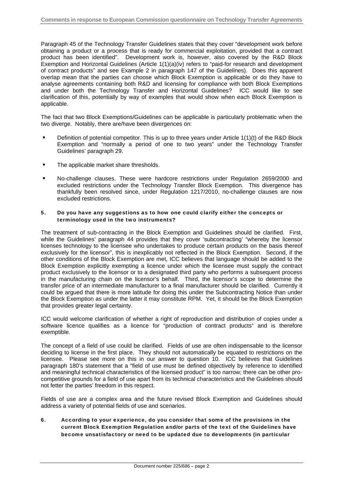Paragraph 45 of the Technology Transfer Guidelines states that they cover "development work before obtaining a product or a process that is ready for commercial exploitation, provided that a contract product has been identified". Development work is, however, also covered by the R&D Block Exemption and Horizontal Guidelines (Article 1(1)(a)(iv) refers to "paid-for research and development of contract products" and see Example 2 in paragraph 147 of the Guidelines). Does this apparent overlap mean that the parties can choose which Block Exemption is applicable or do they have to analyse agreements containing both R&D and licensing for compliance with both Block Exemptions and under both the Technology Transfer and Horizontal Guidelines? ICC would like to see clarification of this, potentially by way of examples that would show when each Block Exemption is applicable.

The fact that two Block Exemptions/Guidelines can be applicable is particularly problematic when the two diverge. Notably, there are/have been divergences on:

- Definition of potential competitor. This is up to three years under Article 1(1)(t) of the R&D Block Exemption and "normally a period of one to two years" under the Technology Transfer Guidelines' paragraph 29.
- **The applicable market share thresholds.**
- No-challenge clauses. These were hardcore restrictions under Regulation 2659/2000 and excluded restrictions under the Technology Transfer Block Exemption. This divergence has thankfully been resolved since, under Regulation 1217/2010, no-challenge clauses are now excluded restrictions.

### 5. Do you have any suggestions as to how one could clarify either the concepts or terminology used in the two instruments?

The treatment of sub-contracting in the Block Exemption and Guidelines should be clarified. First, while the Guidelines' paragraph 44 provides that they cover 'subcontracting' "whereby the licensor licenses technology to the licensee who undertakes to produce certain products on the basis thereof exclusively for the licensor", this is inexplicably not reflected in the Block Exemption. Second, if the other conditions of the Block Exemption are met, ICC believes that language should be added to the Block Exemption explicitly exempting a licence under which the licensee must supply the contract product exclusively to the licensor or to a designated third party who performs a subsequent process in the manufacturing chain on the licensor's behalf. Third, the licensor's scope to determine the transfer price of an intermediate manufacturer to a final manufacturer should be clarified. Currently it could be argued that there is more latitude for doing this under the Subcontracting Notice than under the Block Exemption as under the latter it may constitute RPM. Yet, it should be the Block Exemption that provides greater legal certainty.

ICC would welcome clarification of whether a right of reproduction and distribution of copies under a software licence qualifies as a licence for "production of contract products" and is therefore exemptible.

The concept of a field of use could be clarified. Fields of use are often indispensable to the licensor deciding to license in the first place. They should not automatically be equated to restrictions on the licensee. Please see more on this in our answer to question 10. ICC believes that Guidelines paragraph 180's statement that a "field of use must be defined objectively by reference to identified and meaningful technical characteristics of the licensed product" is too narrow; there can be other procompetitive grounds for a field of use apart from its technical characteristics and the Guidelines should not fetter the parties' freedom in this respect.

Fields of use are a complex area and the future revised Block Exemption and Guidelines should address a variety of potential fields of use and scenarios.

6. According to your experience, do you consider that some of the provisions in the current Block Exemption Regulation and/or parts of the text of the Guidelines have become unsatisfactory or need to be updated due to developments (in particular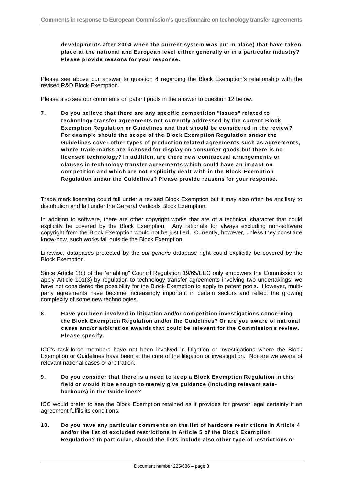developments after 2004 when the current system was put in place) that have taken place at the national and European level either generally or in a particular industry? Please provide reasons for your response.

Please see above our answer to question 4 regarding the Block Exemption's relationship with the revised R&D Block Exemption.

Please also see our comments on patent pools in the answer to question 12 below.

7. Do you believe that there are any specific competition "issues" related to technology transfer agreements not currently addressed by the current Block Exemption Regulation or Guidelines and that should be considered in the review? For example should the scope of the Block Exemption Regulation and/or the Guidelines cover other types of production related agreements such as agreements, where trade-marks are licensed for display on consumer goods but there is no licensed technology? In addition, are there new contractual arrangements or clauses in technology transfer agreements which could have an impact on competition and which are not explicitly dealt with in the Block Exemption Regulation and/or the Guidelines? Please provide reasons for your response.

Trade mark licensing could fall under a revised Block Exemption but it may also often be ancillary to distribution and fall under the General Verticals Block Exemption.

In addition to software, there are other copyright works that are of a technical character that could explicitly be covered by the Block Exemption. Any rationale for always excluding non-software copyright from the Block Exemption would not be justified. Currently, however, unless they constitute know-how, such works fall outside the Block Exemption.

Likewise, databases protected by the *sui generis* database right could explicitly be covered by the Block Exemption.

Since Article 1(b) of the "enabling" Council Regulation 19/65/EEC only empowers the Commission to apply Article 101(3) by regulation to technology transfer agreements involving two undertakings, we have not considered the possibility for the Block Exemption to apply to patent pools. However, multiparty agreements have become increasingly important in certain sectors and reflect the growing complexity of some new technologies.

8. Have you been involved in litigation and/or competition investigations concerning the Block Exemption Regulation and/or the Guidelines? Or are you aware of national cases and/or arbitration awards that could be relevant for the Commission's review. Please specify.

ICC's task-force members have not been involved in litigation or investigations where the Block Exemption or Guidelines have been at the core of the litigation or investigation. Nor are we aware of relevant national cases or arbitration.

#### 9. Do you consider that there is a need to keep a Block Exemption Regulation in this field or would it be enough to merely give guidance (including relevant safeharbours) in the Guidelines?

ICC would prefer to see the Block Exemption retained as it provides for greater legal certainty if an agreement fulfils its conditions.

10. Do you have any particular comments on the list of hardcore restrictions in Article 4 and/or the list of excluded restrictions in Article 5 of the Block Exemption Regulation? In particular, should the lists include also other type of restrictions or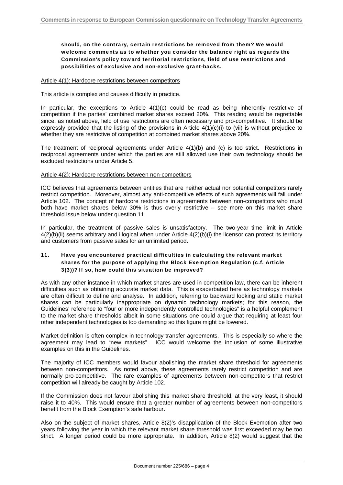#### should, on the contrary, certain restrictions be removed from them? We would welcome comments as to whether you consider the balance right as regards the Commission's policy toward territorial restrictions, field of use restrictions and possibilities of exclusive and non-exclusive grant-backs.

#### Article 4(1): Hardcore restrictions between competitors

This article is complex and causes difficulty in practice.

In particular, the exceptions to Article 4(1)(c) could be read as being inherently restrictive of competition if the parties' combined market shares exceed 20%. This reading would be regrettable since, as noted above, field of use restrictions are often necessary and pro-competitive. It should be expressly provided that the listing of the provisions in Article  $4(1)(c)(i)$  to (vii) is without prejudice to whether they are restrictive of competition at combined market shares above 20%.

The treatment of reciprocal agreements under Article 4(1)(b) and (c) is too strict. Restrictions in reciprocal agreements under which the parties are still allowed use their own technology should be excluded restrictions under Article 5.

#### Article 4(2): Hardcore restrictions between non-competitors

ICC believes that agreements between entities that are neither actual nor potential competitors rarely restrict competition. Moreover, almost any anti-competitive effects of such agreements will fall under Article 102. The concept of hardcore restrictions in agreements between non-competitors who must both have market shares below 30% is thus overly restrictive – see more on this market share threshold issue below under question 11.

In particular, the treatment of passive sales is unsatisfactory. The two-year time limit in Article 4(2)(b)(ii) seems arbitrary and illogical when under Article 4(2)(b)(i) the licensor can protect its territory and customers from passive sales for an unlimited period.

#### 11. Have you encountered practical difficulties in calculating the relevant market shares for the purpose of applying the Block Exemption Regulation (c.f. Article 3(3))? If so, how could this situation be improved?

As with any other instance in which market shares are used in competition law, there can be inherent difficulties such as obtaining accurate market data. This is exacerbated here as technology markets are often difficult to define and analyse. In addition, referring to backward looking and static market shares can be particularly inappropriate on dynamic technology markets; for this reason, the Guidelines' reference to "four or more independently controlled technologies" is a helpful complement to the market share thresholds albeit in some situations one could argue that requiring at least four other independent technologies is too demanding so this figure might be lowered.

Market definition is often complex in technology transfer agreements. This is especially so where the agreement may lead to "new markets". ICC would welcome the inclusion of some illustrative examples on this in the Guidelines.

The majority of ICC members would favour abolishing the market share threshold for agreements between non-competitors. As noted above, these agreements rarely restrict competition and are normally pro-competitive. The rare examples of agreements between non-competitors that restrict competition will already be caught by Article 102.

If the Commission does not favour abolishing this market share threshold, at the very least, it should raise it to 40%. This would ensure that a greater number of agreements between non-competitors benefit from the Block Exemption's safe harbour.

Also on the subject of market shares, Article 8(2)'s disapplication of the Block Exemption after two years following the year in which the relevant market share threshold was first exceeded may be too strict. A longer period could be more appropriate. In addition, Article 8(2) would suggest that the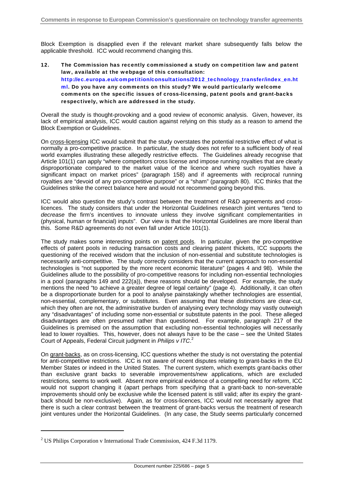Block Exemption is disapplied even if the relevant market share subsequently falls below the applicable threshold. ICC would recommend changing this.

12. The Commission has recently commissioned a study on competition law and patent law, available at the webpage of this consultation: http://ec.europa.eu/competition/consultations/2012\_technology\_transfer/index\_en.ht ml. Do you have any comments on this study? We would particularly welcome comments on the specific issues of cross-licensing, patent pools and grant-backs respectively, which are addressed in the study**.** 

Overall the study is thought-provoking and a good review of economic analysis. Given, however, its lack of empirical analysis, ICC would caution against relying on this study as a reason to amend the Block Exemption or Guidelines.

On cross-licensing ICC would submit that the study overstates the potential restrictive effect of what is normally a pro-competitive practice. In particular, the study does not refer to a sufficient body of real world examples illustrating these allegedly restrictive effects. The Guidelines already recognise that Article 101(1) can apply "where competitors cross license and impose running royalties that are clearly disproportionate compared to the market value of the licence and where such royalties have a significant impact on market prices" (paragraph 158) and if agreements with reciprocal running royalties are "devoid of any pro-competitive purpose" or a "sham" (paragraph 80). ICC thinks that the Guidelines strike the correct balance here and would not recommend going beyond this.

ICC would also question the study's contrast between the treatment of R&D agreements and crosslicences. The study considers that under the Horizontal Guidelines research joint ventures "tend to *decrease* the firm's incentives to innovate unless they involve significant complementarities in (physical, human or financial) inputs". Our view is that the Horizontal Guidelines are more liberal than this. Some R&D agreements do not even fall under Article 101(1).

The study makes some interesting points on patent pools. In particular, given the pro-competitive effects of patent pools in reducing transaction costs and clearing patent thickets, ICC supports the questioning of the received wisdom that the inclusion of non-essential and substitute technologies is necessarily anti-competitive. The study correctly considers that the current approach to non-essential technologies is "not supported by the more recent economic literature" (pages 4 and 98). While the Guidelines allude to the possibility of pro-competitive reasons for including non-essential technologies in a pool (paragraphs 149 and 222(a)), these reasons should be developed. For example, the study mentions the need "to achieve a greater degree of legal certainty" (page 4). Additionally, it can often be a disproportionate burden for a pool to analyse painstakingly whether technologies are essential, non-essential, complementary, or substitutes. Even assuming that these distinctions are clear-cut, which they often are not, the administrative burden of analysing every technology may vastly outweigh any "disadvantages" of including some non-essential or substitute patents in the pool. These alleged disadvantages are often presumed rather than questioned. For example, paragraph 217 of the Guidelines is premised on the assumption that excluding non-essential technologies will necessarily lead to lower royalties. This, however, does not always have to be the case – see the United States Court of Appeals, Federal Circuit judgment in *Philips v ITC*. 2

On grant-backs, as on cross-licensing, ICC questions whether the study is not overstating the potential for anti-competitive restrictions. ICC is not aware of recent disputes relating to grant-backs in the EU Member States or indeed in the United States. The current system, which exempts grant-backs other than exclusive grant backs to severable improvements/new applications, which are excluded restrictions, seems to work well. Absent more empirical evidence of a compelling need for reform, ICC would not support changing it (apart perhaps from specifying that a grant-back to non-severable improvements should only be exclusive while the licensed patent is still valid; after its expiry the grantback should be non-exclusive). Again, as for cross-licences, ICC would not necessarily agree that there is such a clear contrast between the treatment of grant-backs versus the treatment of research joint ventures under the Horizontal Guidelines. (In any case, the Study seems particularly concerned

<sup>&</sup>lt;sup>2</sup> US Philips Corporation v International Trade Commission, 424 F.3d 1179.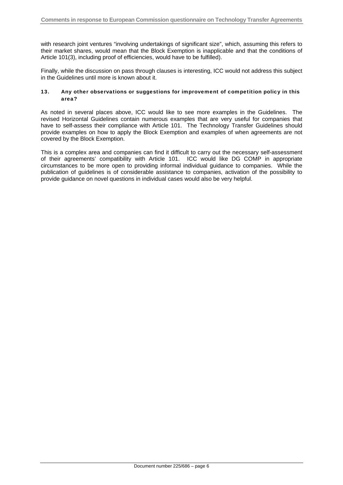with research joint ventures "involving undertakings of significant size", which, assuming this refers to their market shares, would mean that the Block Exemption is inapplicable and that the conditions of Article 101(3), including proof of efficiencies, would have to be fulfilled).

Finally, while the discussion on pass through clauses is interesting, ICC would not address this subject in the Guidelines until more is known about it.

#### 13. Any other observations or suggestions for improvement of competition policy in this area?

As noted in several places above, ICC would like to see more examples in the Guidelines. The revised Horizontal Guidelines contain numerous examples that are very useful for companies that have to self-assess their compliance with Article 101. The Technology Transfer Guidelines should provide examples on how to apply the Block Exemption and examples of when agreements are not covered by the Block Exemption.

This is a complex area and companies can find it difficult to carry out the necessary self-assessment of their agreements' compatibility with Article 101. ICC would like DG COMP in appropriate circumstances to be more open to providing informal individual guidance to companies. While the publication of guidelines is of considerable assistance to companies, activation of the possibility to provide guidance on novel questions in individual cases would also be very helpful.